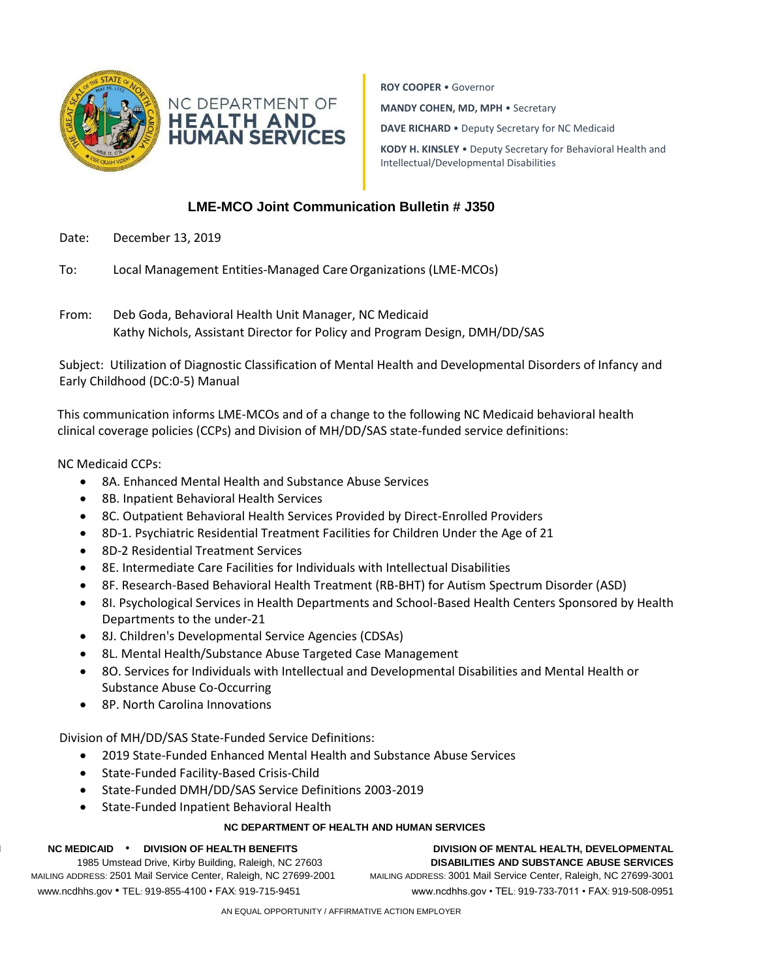



**ROY COOPER** • Governor **MANDY COHEN, MD, MPH** • Secretary **DAVE RICHARD** • Deputy Secretary for NC Medicaid **KODY H. KINSLEY** • Deputy Secretary for Behavioral Health and Intellectual/Developmental Disabilities

## **LME-MCO Joint Communication Bulletin # J350**

- Date: December 13, 2019
- To: Local Management Entities-Managed Care Organizations (LME-MCOs)
- From: Deb Goda, Behavioral Health Unit Manager, NC Medicaid Kathy Nichols, Assistant Director for Policy and Program Design, DMH/DD/SAS

Subject: Utilization of Diagnostic Classification of Mental Health and Developmental Disorders of Infancy and Early Childhood (DC:0-5) Manual

This communication informs LME-MCOs and of a change to the following NC Medicaid behavioral health clinical coverage policies (CCPs) and Division of MH/DD/SAS state-funded service definitions:

## NC Medicaid CCPs:

- 8A. Enhanced Mental Health and Substance Abuse Services
- 8B. Inpatient Behavioral Health Services
- 8C. Outpatient Behavioral Health Services Provided by Direct-Enrolled Providers
- 8D-1. Psychiatric Residential Treatment Facilities for Children Under the Age of 21
- 8D-2 Residential Treatment Services
- 8E. Intermediate Care Facilities for Individuals with Intellectual Disabilities
- 8F. Research-Based Behavioral Health Treatment (RB-BHT) for Autism Spectrum Disorder (ASD)
- 8I. Psychological Services in Health Departments and School-Based Health Centers Sponsored by Health Departments to the under-21
- 8J. Children's Developmental Service Agencies (CDSAs)
- 8L. Mental Health/Substance Abuse Targeted Case Management
- 8O. Services for Individuals with Intellectual and Developmental Disabilities and Mental Health or Substance Abuse Co-Occurring
- 8P. North Carolina Innovations

Division of MH/DD/SAS State-Funded Service Definitions:

- 2019 State-Funded Enhanced Mental Health and Substance Abuse Services
- State-Funded Facility-Based Crisis-Child
- State-Funded DMH/DD/SAS Service Definitions 2003-2019
- State-Funded Inpatient Behavioral Health

## **NC DEPARTMENT OF HEALTH AND HUMAN SERVICES**

| <b>DIVISION OF HEALTH BENEFITS</b><br><b>NC MEDICAID</b>          | DIVISION OF MENTAL HEALTH, DEVELOPMENTAL                          |
|-------------------------------------------------------------------|-------------------------------------------------------------------|
| 1985 Umstead Drive, Kirby Building, Raleigh, NC 27603             | <b>DISABILITIES AND SUBSTANCE ABUSE SERVICES</b>                  |
| MAILING ADDRESS: 2501 Mail Service Center, Raleigh, NC 27699-2001 | MAILING ADDRESS: 3001 Mail Service Center, Raleigh, NC 27699-3001 |
| www.ncdhhs.gov • TEL: 919-855-4100 • FAX: 919-715-9451            | www.ncdhhs.gov • TEL: 919-733-7011 • FAX: 919-508-0951            |
|                                                                   |                                                                   |